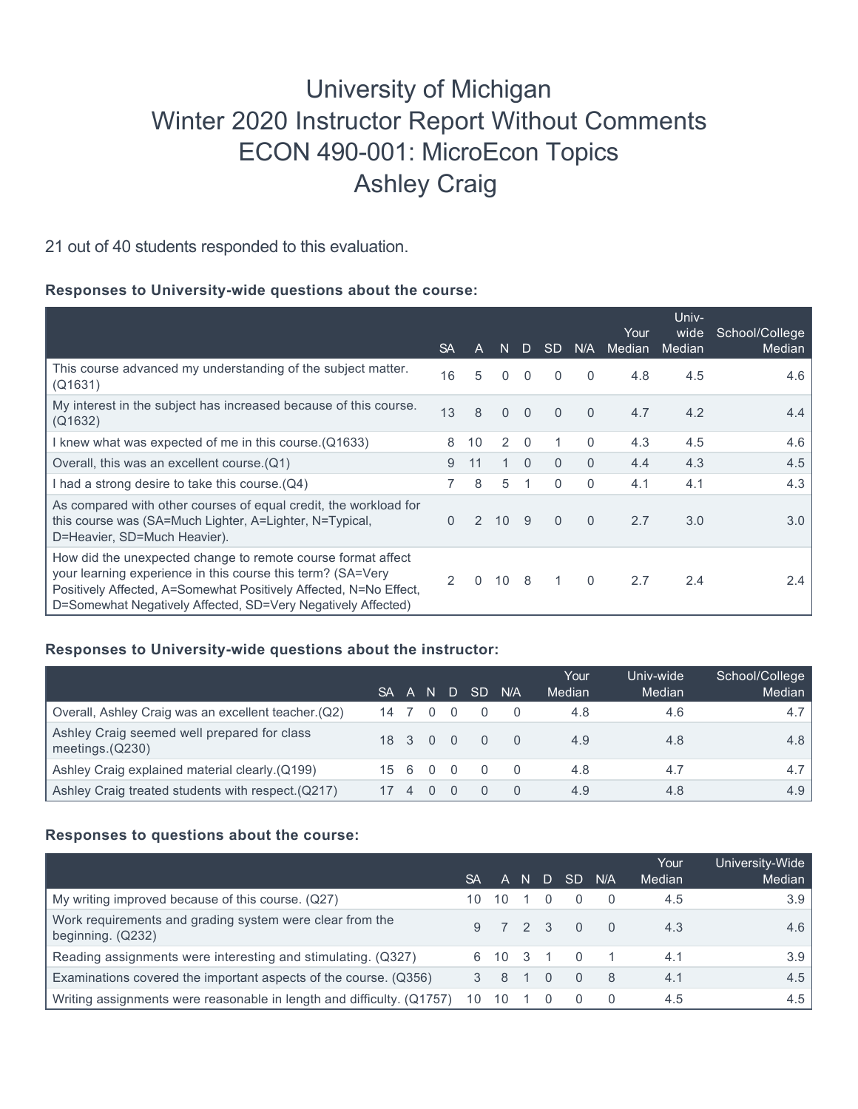# University of Michigan Winter 2020 Instructor Report Without Comments ECON 490-001: MicroEcon Topics Ashley Craig

21 out of 40 students responded to this evaluation.

## **Responses to University-wide questions about the course:**

|                                                                                                                                                                                                                                                                  | <b>SA</b>     | A            | N.       | D.       | SD.          | N/A          | Your<br>Median | Univ-<br>wide<br>Median | School/College<br>Median |
|------------------------------------------------------------------------------------------------------------------------------------------------------------------------------------------------------------------------------------------------------------------|---------------|--------------|----------|----------|--------------|--------------|----------------|-------------------------|--------------------------|
| This course advanced my understanding of the subject matter.<br>(Q1631)                                                                                                                                                                                          | 16            | 5            | $\Omega$ | $\Omega$ | $\mathbf{0}$ | $\Omega$     | 4.8            | 4.5                     | 4.6                      |
| My interest in the subject has increased because of this course.<br>(Q1632)                                                                                                                                                                                      | 13            | 8            | $\Omega$ | $\Omega$ | $\Omega$     | $\Omega$     | 4.7            | 4.2                     | 4.4                      |
| I knew what was expected of me in this course. (Q1633)                                                                                                                                                                                                           | 8             | 10           | 2        | $\Omega$ |              | 0            | 4.3            | 4.5                     | 4.6                      |
| Overall, this was an excellent course. $(Q1)$                                                                                                                                                                                                                    | 9             | 11           |          | $\Omega$ | $\Omega$     | $\Omega$     | 4.4            | 4.3                     | 4.5                      |
| I had a strong desire to take this course. (Q4)                                                                                                                                                                                                                  |               | 8            | 5        |          | 0            | $\Omega$     | 4.1            | 4.1                     | 4.3                      |
| As compared with other courses of equal credit, the workload for<br>this course was (SA=Much Lighter, A=Lighter, N=Typical,<br>D=Heavier, SD=Much Heavier).                                                                                                      | $\Omega$      | 2            | 10       | 9        | $\Omega$     | $\Omega$     | 2.7            | 3.0                     | 3.0 <sub>2</sub>         |
| How did the unexpected change to remote course format affect<br>your learning experience in this course this term? (SA=Very<br>Positively Affected, A=Somewhat Positively Affected, N=No Effect,<br>D=Somewhat Negatively Affected, SD=Very Negatively Affected) | $\mathcal{P}$ | $\mathbf{0}$ | 10       | 8        |              | $\mathbf{0}$ | 2.7            | 2.4                     | $2.4^{\circ}$            |

## **Responses to University-wide questions about the instructor:**

|                                                                   | SA.  | $\Box$ A | N        |        | D SD                                    | N/A              | Your<br>Median | Univ-wide<br>Median | School/College<br>Median |
|-------------------------------------------------------------------|------|----------|----------|--------|-----------------------------------------|------------------|----------------|---------------------|--------------------------|
| Overall, Ashley Craig was an excellent teacher. (Q2)              | 14 7 |          | $\Omega$ | $\Box$ |                                         |                  | 4.8            | 4.6                 | 4.7                      |
| Ashley Craig seemed well prepared for class<br>meetings. $(Q230)$ |      |          |          |        | 18 3 0 0 0                              |                  | 4.9            | 4.8                 | 4.8                      |
| Ashley Craig explained material clearly.(Q199)                    | 15 6 |          |          |        | $\begin{matrix} 0 & 0 & 0 \end{matrix}$ |                  | 4.8            | 4.7                 | 4.7 <sub>1</sub>         |
| Ashley Craig treated students with respect. (Q217)                |      | $\Delta$ |          |        |                                         | $\left( \right)$ | 4.9            | 4.8                 | 4.9                      |

#### **Responses to questions about the course:**

|                                                                               | <b>SA</b> | A        | N | - D-     |           | SD N/A | Your<br>Median | University-Wide<br>Median |
|-------------------------------------------------------------------------------|-----------|----------|---|----------|-----------|--------|----------------|---------------------------|
| My writing improved because of this course. (Q27)                             |           | 10       |   |          |           |        | 4.5            | 3.9                       |
| Work requirements and grading system were clear from the<br>beginning. (Q232) |           |          |   |          | 7 2 3 0   |        | 4.3            | 4.6                       |
| Reading assignments were interesting and stimulating. (Q327)                  |           | 6 10 3 1 |   |          | $\bigcap$ |        | 4.1            | 3.9                       |
| Examinations covered the important aspects of the course. (Q356)              |           | 8        |   | $\Omega$ | $\Omega$  | - 8    | 4.1            | 4.5                       |
| Writing assignments were reasonable in length and difficulty. (Q1757)         | 10        | 10       |   |          |           |        | 4.5            | 4.5                       |